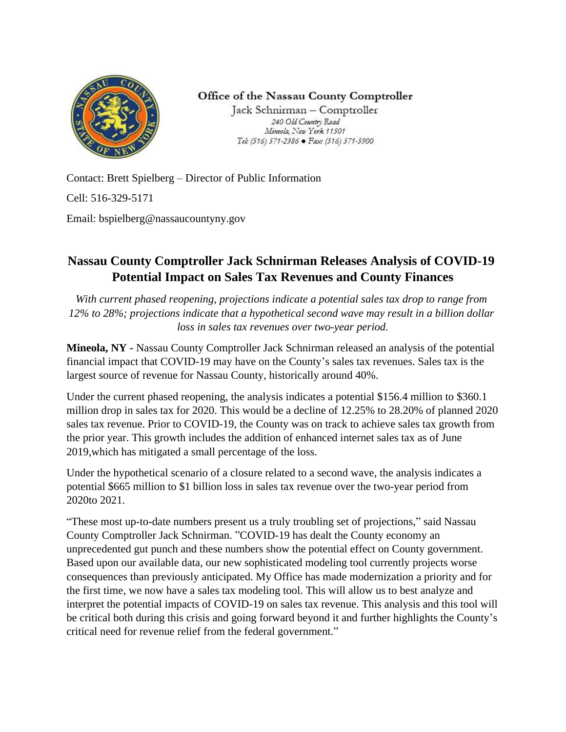

Office of the Nassau County Comptroller

Jack Schnirman - Comptroller 240 Old Country Road Mineola, New York 11501 Tel: (516) 571-2386 · Fax: (516) 571-5900

Contact: Brett Spielberg – Director of Public Information Cell: 516-329-5171 Email: bspielberg@nassaucountyny.gov

## **Nassau County Comptroller Jack Schnirman Releases Analysis of COVID-19 Potential Impact on Sales Tax Revenues and County Finances**

*With current phased reopening, projections indicate a potential sales tax drop to range from 12% to 28%; projections indicate that a hypothetical second wave may result in a billion dollar loss in sales tax revenues over two-year period.*

**Mineola, NY -** Nassau County Comptroller Jack Schnirman released an analysis of the potential financial impact that COVID-19 may have on the County's sales tax revenues. Sales tax is the largest source of revenue for Nassau County, historically around 40%.

Under the current phased reopening, the analysis indicates a potential \$156.4 million to \$360.1 million drop in sales tax for 2020. This would be a decline of 12.25% to 28.20% of planned 2020 sales tax revenue. Prior to COVID-19, the County was on track to achieve sales tax growth from the prior year. This growth includes the addition of enhanced internet sales tax as of June 2019,which has mitigated a small percentage of the loss.

Under the hypothetical scenario of a closure related to a second wave, the analysis indicates a potential \$665 million to \$1 billion loss in sales tax revenue over the two-year period from 2020to 2021.

"These most up-to-date numbers present us a truly troubling set of projections," said Nassau County Comptroller Jack Schnirman. "COVID-19 has dealt the County economy an unprecedented gut punch and these numbers show the potential effect on County government. Based upon our available data, our new sophisticated modeling tool currently projects worse consequences than previously anticipated. My Office has made modernization a priority and for the first time, we now have a sales tax modeling tool. This will allow us to best analyze and interpret the potential impacts of COVID-19 on sales tax revenue. This analysis and this tool will be critical both during this crisis and going forward beyond it and further highlights the County's critical need for revenue relief from the federal government."